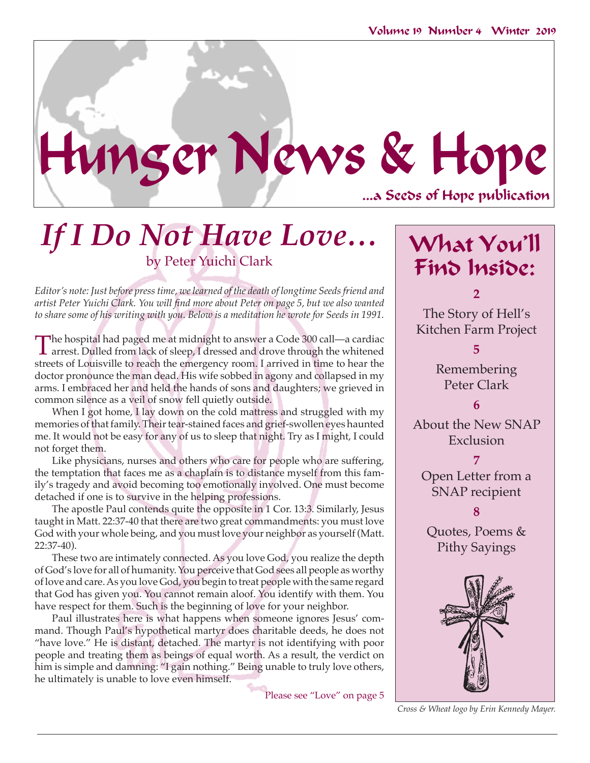# ...a Seeds of Hope publication Hunger News & Hope

## *If I Do Not Have Love…* by Peter Yuichi Clark

*Editor's note: Just before press time, we learned of the death of longtime Seeds friend and artist Peter Yuichi Clark. You will find more about Peter on page 5, but we also wanted to share some of his writing with you. Below is a meditation he wrote for Seeds in 1991.*

The hospital had paged me at midnight to answer a Code 300 call—a cardiac arrest. Dulled from lack of sleep, I dressed and drove through the whitened the whitened streets of Louisville to reach the emergency room. I arrived in time to hear the doctor pronounce the man dead. His wife sobbed in agony and collapsed in my arms. I embraced her and held the hands of sons and daughters; we grieved in common silence as a veil of snow fell quietly outside.

When I got home, I lay down on the cold mattress and struggled with my memories of that family. Their tear-stained faces and grief-swollen eyes haunted me. It would not be easy for any of us to sleep that night. Try as I might, I could not forget them.

Like physicians, nurses and others who care for people who are suffering, the temptation that faces me as a chaplain is to distance myself from this family's tragedy and avoid becoming too emotionally involved. One must become detached if one is to survive in the helping professions.

The apostle Paul contends quite the opposite in 1 Cor. 13:3. Similarly, Jesus taught in Matt. 22:37-40 that there are two great commandments: you must love God with your whole being, and you must love your neighbor as yourself (Matt. 22:37-40).

These two are intimately connected. As you love God, you realize the depth of God's love for all of humanity. You perceive that God sees all people as worthy of love and care. As you love God, you begin to treat people with the same regard that God has given you. You cannot remain aloof. You identify with them. You have respect for them. Such is the beginning of love for your neighbor.

Paul illustrates here is what happens when someone ignores Jesus' command. Though Paul's hypothetical martyr does charitable deeds, he does not "have love." He is distant, detached. The martyr is not identifying with poor people and treating them as beings of equal worth. As a result, the verdict on him is simple and damning: "I gain nothing." Being unable to truly love others, he ultimately is unable to love even himself.

Please see "Love" on page 5

What You'll Find Inside:

**2** The Story of Hell's Kitchen Farm Project

> **5** Remembering Peter Clark

About the New SNAP Exclusion

**6**

**7** Open Letter from a SNAP recipient

**8**

Quotes, Poems & Pithy Sayings



*Cross & Wheat logo by Erin Kennedy Mayer.*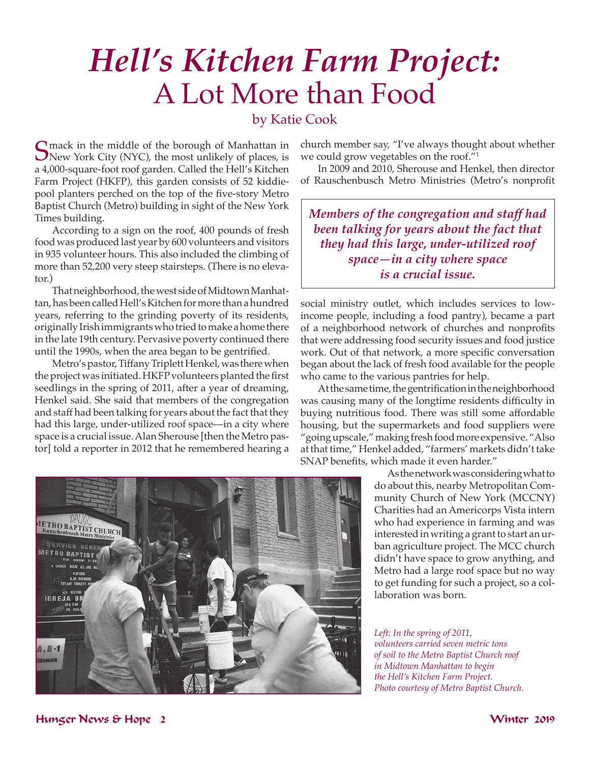# *Hell's Kitchen Farm Project:*  A Lot More than Food

### by Katie Cook

Smack in the middle of the borough of Manhattan in<br>New York City (NYC), the most unlikely of places, is<br>1,000 square fast usef and an Gallad the Hall's Kitchen a 4,000-square-foot roof garden. Called the Hell's Kitchen Farm Project (HKFP), this garden consists of 52 kiddiepool planters perched on the top of the five-story Metro Baptist Church (Metro) building in sight of the New York Times building.

According to a sign on the roof, 400 pounds of fresh food was produced last year by 600 volunteers and visitors in 935 volunteer hours. This also included the climbing of more than 52,200 very steep stairsteps. (There is no elevator.)

That neighborhood, the west side of Midtown Manhattan, has been called Hell's Kitchen for more than a hundred years, referring to the grinding poverty of its residents, originally Irish immigrants who tried to make a home there in the late 19th century. Pervasive poverty continued there until the 1990s, when the area began to be gentrified.

Metro's pastor, Tiffany Triplett Henkel, was there when the project was initiated. HKFP volunteers planted the first seedlings in the spring of 2011, after a year of dreaming, Henkel said. She said that members of the congregation and staff had been talking for years about the fact that they had this large, under-utilized roof space—in a city where space is a crucial issue. Alan Sherouse [then the Metro pastor] told a reporter in 2012 that he remembered hearing a

church member say, "I've always thought about whether we could grow vegetables on the roof."1

In 2009 and 2010, Sherouse and Henkel, then director of Rauschenbusch Metro Ministries (Metro's nonprofit

*Members of the congregation and staff had been talking for years about the fact that they had this large, under-utilized roof space—in a city where space is a crucial issue.*

social ministry outlet, which includes services to lowincome people, including a food pantry), became a part of a neighborhood network of churches and nonprofits that were addressing food security issues and food justice work. Out of that network, a more specific conversation began about the lack of fresh food available for the people who came to the various pantries for help.

At the same time, the gentrification in the neighborhood was causing many of the longtime residents difficulty in buying nutritious food. There was still some affordable housing, but the supermarkets and food suppliers were "going upscale," making fresh food more expensive. "Also at that time," Henkel added, "farmers' markets didn't take SNAP benefits, which made it even harder."

> As the network was considering what to do about this, nearby Metropolitan Community Church of New York (MCCNY) Charities had an Americorps Vista intern who had experience in farming and was interested in writing a grant to start an urban agriculture project. The MCC church didn't have space to grow anything, and Metro had a large roof space but no way to get funding for such a project, so a collaboration was born.

*Left: In the spring of 2011,* 

*volunteers carried seven metric tons of soil to the Metro Baptist Church roof in Midtown Manhattan to begin the Hell's Kitchen Farm Project. Photo courtesy of Metro Baptist Church.*



Hunger News & Hope 2 Winter 2019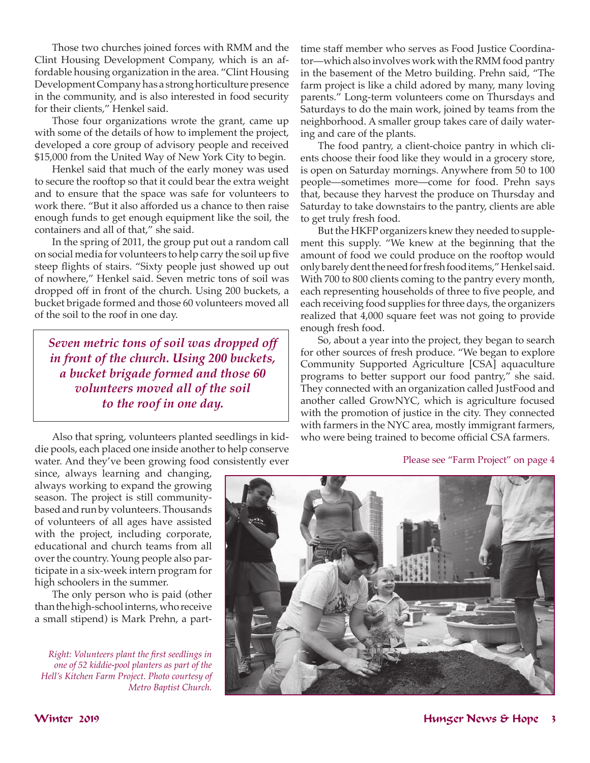Those two churches joined forces with RMM and the Clint Housing Development Company, which is an affordable housing organization in the area. "Clint Housing Development Company has a strong horticulture presence in the community, and is also interested in food security for their clients," Henkel said.

Those four organizations wrote the grant, came up with some of the details of how to implement the project, developed a core group of advisory people and received \$15,000 from the United Way of New York City to begin.

Henkel said that much of the early money was used to secure the rooftop so that it could bear the extra weight and to ensure that the space was safe for volunteers to work there. "But it also afforded us a chance to then raise enough funds to get enough equipment like the soil, the containers and all of that," she said.

In the spring of 2011, the group put out a random call on social media for volunteers to help carry the soil up five steep flights of stairs. "Sixty people just showed up out of nowhere," Henkel said. Seven metric tons of soil was dropped off in front of the church. Using 200 buckets, a bucket brigade formed and those 60 volunteers moved all of the soil to the roof in one day.

*Seven metric tons of soil was dropped off in front of the church. Using 200 buckets, a bucket brigade formed and those 60 volunteers moved all of the soil to the roof in one day.*

Also that spring, volunteers planted seedlings in kiddie pools, each placed one inside another to help conserve water. And they've been growing food consistently ever time staff member who serves as Food Justice Coordinator—which also involves work with the RMM food pantry in the basement of the Metro building. Prehn said, "The farm project is like a child adored by many, many loving parents." Long-term volunteers come on Thursdays and Saturdays to do the main work, joined by teams from the neighborhood. A smaller group takes care of daily watering and care of the plants.

The food pantry, a client-choice pantry in which clients choose their food like they would in a grocery store, is open on Saturday mornings. Anywhere from 50 to 100 people—sometimes more—come for food. Prehn says that, because they harvest the produce on Thursday and Saturday to take downstairs to the pantry, clients are able to get truly fresh food.

But the HKFP organizers knew they needed to supplement this supply. "We knew at the beginning that the amount of food we could produce on the rooftop would only barely dent the need for fresh food items," Henkel said. With 700 to 800 clients coming to the pantry every month, each representing households of three to five people, and each receiving food supplies for three days, the organizers realized that 4,000 square feet was not going to provide enough fresh food.

So, about a year into the project, they began to search for other sources of fresh produce. "We began to explore Community Supported Agriculture [CSA] aquaculture programs to better support our food pantry," she said. They connected with an organization called JustFood and another called GrowNYC, which is agriculture focused with the promotion of justice in the city. They connected with farmers in the NYC area, mostly immigrant farmers, who were being trained to become official CSA farmers.

### Please see "Farm Project" on page 4

since, always learning and changing, always working to expand the growing season. The project is still communitybased and run by volunteers. Thousands of volunteers of all ages have assisted with the project, including corporate, educational and church teams from all over the country. Young people also participate in a six-week intern program for high schoolers in the summer.

The only person who is paid (other than the high-school interns, who receive a small stipend) is Mark Prehn, a part-

*Right: Volunteers plant the first seedlings in one of 52 kiddie-pool planters as part of the Hell's Kitchen Farm Project. Photo courtesy of Metro Baptist Church.*

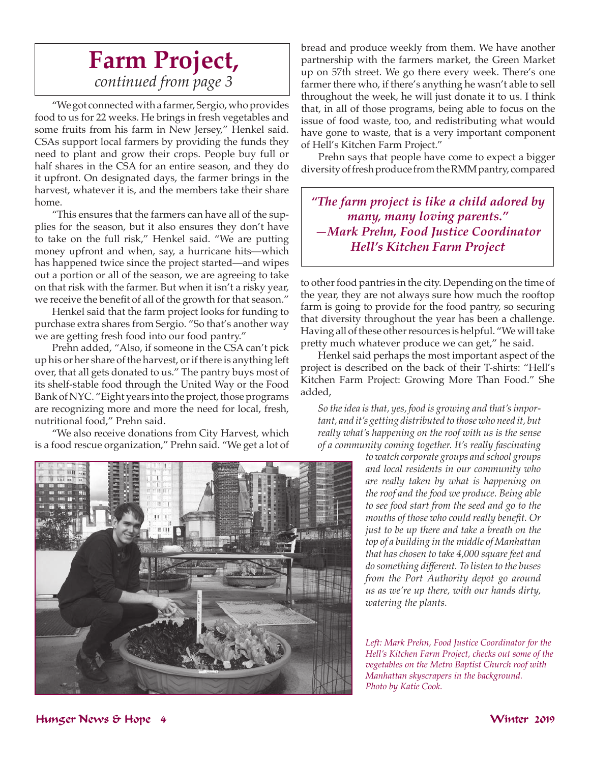### **Farm Project,**  *continued from page 3*

"We got connected with a farmer, Sergio, who provides food to us for 22 weeks. He brings in fresh vegetables and some fruits from his farm in New Jersey," Henkel said. CSAs support local farmers by providing the funds they need to plant and grow their crops. People buy full or half shares in the CSA for an entire season, and they do it upfront. On designated days, the farmer brings in the harvest, whatever it is, and the members take their share home.

"This ensures that the farmers can have all of the supplies for the season, but it also ensures they don't have to take on the full risk," Henkel said. "We are putting money upfront and when, say, a hurricane hits—which has happened twice since the project started—and wipes out a portion or all of the season, we are agreeing to take on that risk with the farmer. But when it isn't a risky year, we receive the benefit of all of the growth for that season."

Henkel said that the farm project looks for funding to purchase extra shares from Sergio. "So that's another way we are getting fresh food into our food pantry."

Prehn added, "Also, if someone in the CSA can't pick up his or her share of the harvest, or if there is anything left over, that all gets donated to us." The pantry buys most of its shelf-stable food through the United Way or the Food Bank of NYC. "Eight years into the project, those programs are recognizing more and more the need for local, fresh, nutritional food," Prehn said.

"We also receive donations from City Harvest, which is a food rescue organization," Prehn said. "We get a lot of

bread and produce weekly from them. We have another partnership with the farmers market, the Green Market up on 57th street. We go there every week. There's one farmer there who, if there's anything he wasn't able to sell throughout the week, he will just donate it to us. I think that, in all of those programs, being able to focus on the issue of food waste, too, and redistributing what would have gone to waste, that is a very important component of Hell's Kitchen Farm Project."

Prehn says that people have come to expect a bigger diversity of fresh produce from the RMM pantry, compared

*"The farm project is like a child adored by many, many loving parents." —Mark Prehn, Food Justice Coordinator Hell's Kitchen Farm Project*

to other food pantries in the city. Depending on the time of the year, they are not always sure how much the rooftop farm is going to provide for the food pantry, so securing that diversity throughout the year has been a challenge. Having all of these other resources is helpful. "We will take pretty much whatever produce we can get," he said.

Henkel said perhaps the most important aspect of the project is described on the back of their T-shirts: "Hell's Kitchen Farm Project: Growing More Than Food." She added,

*So the idea is that, yes, food is growing and that's important, and it's getting distributed to those who need it, but really what's happening on the roof with us is the sense of a community coming together. It's really fascinating* 

> *to watch corporate groups and school groups and local residents in our community who are really taken by what is happening on the roof and the food we produce. Being able to see food start from the seed and go to the mouths of those who could really benefit. Or just to be up there and take a breath on the top of a building in the middle of Manhattan that has chosen to take 4,000 square feet and do something different. To listen to the buses from the Port Authority depot go around us as we're up there, with our hands dirty, watering the plants.*

*Left: Mark Prehn, Food Justice Coordinator for the Hell's Kitchen Farm Project, checks out some of the vegetables on the Metro Baptist Church roof with Manhattan skyscrapers in the background. Photo by Katie Cook.*

### Hunger News & Hope 4 Winter 2019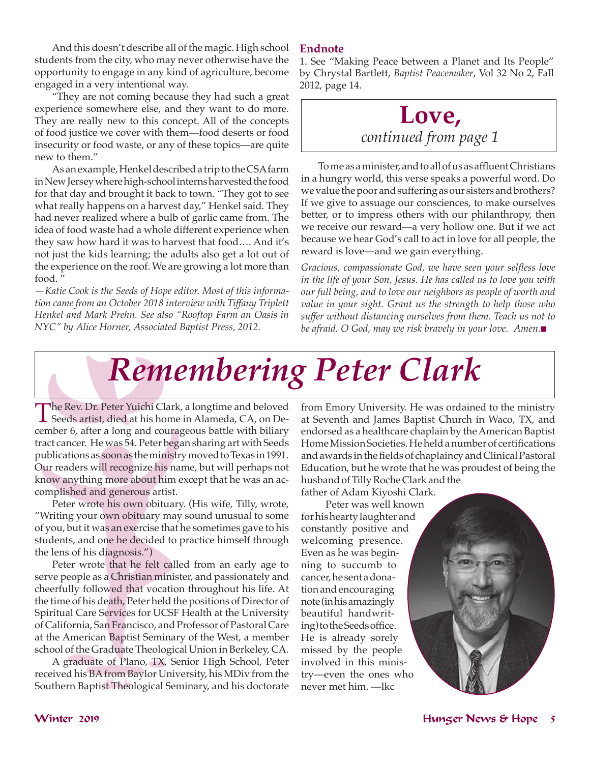And this doesn't describe all of the magic. High school students from the city, who may never otherwise have the opportunity to engage in any kind of agriculture, become engaged in a very intentional way.

"They are not coming because they had such a great experience somewhere else, and they want to do more. They are really new to this concept. All of the concepts of food justice we cover with them—food deserts or food insecurity or food waste, or any of these topics—are quite new to them."

As an example, Henkel described a trip to the CSA farm in New Jersey where high-school interns harvested the food for that day and brought it back to town. "They got to see what really happens on a harvest day," Henkel said. They had never realized where a bulb of garlic came from. The idea of food waste had a whole different experience when they saw how hard it was to harvest that food…. And it's not just the kids learning; the adults also get a lot out of the experience on the roof. We are growing a lot more than food. "

*—Katie Cook is the Seeds of Hope editor. Most of this information came from an October 2018 interview with Tiffany Triplett Henkel and Mark Prehn. See also "Rooftop Farm an Oasis in NYC" by Alice Horner, Associated Baptist Press, 2012.*

### **Endnote**

1. See "Making Peace between a Planet and Its People" by Chrystal Bartlett, *Baptist Peacemaker*, Vol 32 No 2, Fall 2012, page 14.

### **Love,**  *continued from page 1*

 Tomeasaminister,andtoallofusasaffluentChristians in a hungry world, this verse speaks a powerful word. Do we value the poor and suffering as our sisters and brothers? If we give to assuage our consciences, to make ourselves better, or to impress others with our philanthropy, then we receive our reward—a very hollow one. But if we act because we hear God's call to act in love for all people, the reward is love—and we gain everything.

*Gracious, compassionate God, we have seen your selfless love in the life of your Son, Jesus. He has called us to love you with our full being, and to love our neighbors as people of worth and value in your sight. Grant us the strength to help those who suffer without distancing ourselves from them. Teach us not to be afraid.* O God, may we risk bravely in your love. Amen.■

# *Remembering Peter Clark*

The Rev. Dr. Peter Yuichi Clark, a longtime and beloved<br>Seeds artist, died at his home in Alameda, CA, on December 6, after a long and courageous battle with biliary tract cancer. He was 54. Peter began sharing art with Seeds publications as soon as the ministry moved to Texas in 1991. Our readers will recognize his name, but will perhaps not know anything more about him except that he was an accomplished and generous artist.

Peter wrote his own obituary. (His wife, Tilly, wrote, "Writing your own obituary may sound unusual to some of you, but it was an exercise that he sometimes gave to his students, and one he decided to practice himself through the lens of his diagnosis.")

Peter wrote that he felt called from an early age to serve people as a Christian minister, and passionately and cheerfully followed that vocation throughout his life. At the time of his death, Peter held the positions of Director of Spiritual Care Services for UCSF Health at the University of California, San Francisco, and Professor of Pastoral Care at the American Baptist Seminary of the West, a member school of the Graduate Theological Union in Berkeley, CA.

A graduate of Plano, TX, Senior High School, Peter received his BA from Baylor University, his MDiv from the Southern Baptist Theological Seminary, and his doctorate

from Emory University. He was ordained to the ministry at Seventh and James Baptist Church in Waco, TX, and endorsed as a healthcare chaplain by the American Baptist HomeMissionSocieties.Heheldanumberof certifications andawards inthefieldsof chaplaincyandClinicalPastoral Education, but he wrote that he was proudest of being the husband of Tilly Roche Clark and the father of Adam Kiyoshi Clark.

 Peter was well known for his hearty laughter and constantly positive and welcoming presence. Even as he was beginning to succumb to cancer, he sent a donation and encouraging note (in his amazingly beautiful handwriting) to the Seeds office. He is already sorely missed by the people involved in this ministry—even the ones who never met him. —lkc

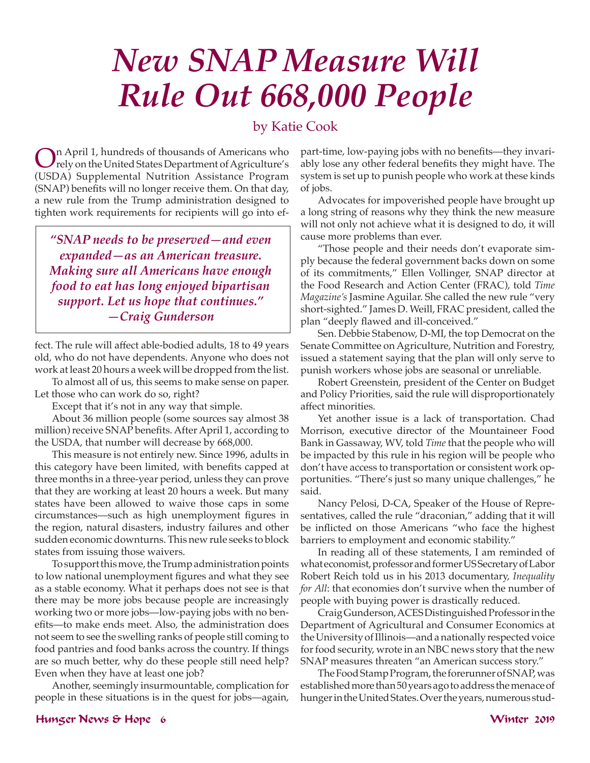# *New SNAP Measure Will Rule Out 668,000 People*

### by Katie Cook

On April 1, hundreds of thousands of Americans who<br>rely on the United States Department of Agriculture's<br>(UCDA) Seventee and Aleksitian Agriculture (USDA) Supplemental Nutrition Assistance Program (SNAP) benefits will no longer receive them. On that day, a new rule from the Trump administration designed to tighten work requirements for recipients will go into ef-

*"SNAP needs to be preserved—and even expanded—as an American treasure. Making sure all Americans have enough food to eat has long enjoyed bipartisan support. Let us hope that continues." —Craig Gunderson*

fect. The rule will affect able-bodied adults, 18 to 49 years old, who do not have dependents. Anyone who does not work at least 20 hours a week will be dropped from the list.

To almost all of us, this seems to make sense on paper. Let those who can work do so, right?

Except that it's not in any way that simple.

About 36 million people (some sources say almost 38 million) receive SNAP benefits. After April 1, according to the USDA, that number will decrease by 668,000.

This measure is not entirely new. Since 1996, adults in this category have been limited, with benefits capped at three months in a three-year period, unless they can prove that they are working at least 20 hours a week. But many states have been allowed to waive those caps in some circumstances—such as high unemployment figures in the region, natural disasters, industry failures and other sudden economic downturns. This new rule seeks to block states from issuing those waivers.

To support this move, the Trump administration points to low national unemployment figures and what they see as a stable economy. What it perhaps does not see is that there may be more jobs because people are increasingly working two or more jobs—low-paying jobs with no benefits—to make ends meet. Also, the administration does not seem to see the swelling ranks of people still coming to food pantries and food banks across the country. If things are so much better, why do these people still need help? Even when they have at least one job?

Another, seemingly insurmountable, complication for people in these situations is in the quest for jobs—again,

part-time, low-paying jobs with no benefits—they invariably lose any other federal benefits they might have. The system is set up to punish people who work at these kinds of jobs.

Advocates for impoverished people have brought up a long string of reasons why they think the new measure will not only not achieve what it is designed to do, it will cause more problems than ever.

"Those people and their needs don't evaporate simply because the federal government backs down on some of its commitments," Ellen Vollinger, SNAP director at the Food Research and Action Center (FRAC), told *Time Magazine's* Jasmine Aguilar. She called the new rule "very short-sighted." James D. Weill, FRAC president, called the plan "deeply flawed and ill-conceived."

Sen. Debbie Stabenow, D-MI, the top Democrat on the Senate Committee on Agriculture, Nutrition and Forestry, issued a statement saying that the plan will only serve to punish workers whose jobs are seasonal or unreliable.

Robert Greenstein, president of the Center on Budget and Policy Priorities, said the rule will disproportionately affect minorities.

Yet another issue is a lack of transportation. Chad Morrison, executive director of the Mountaineer Food Bank in Gassaway, WV, told *Time* that the people who will be impacted by this rule in his region will be people who don't have access to transportation or consistent work opportunities. "There's just so many unique challenges," he said.

Nancy Pelosi, D-CA, Speaker of the House of Representatives, called the rule "draconian," adding that it will be inflicted on those Americans "who face the highest barriers to employment and economic stability."

In reading all of these statements, I am reminded of what economist, professor and former US Secretary of Labor Robert Reich told us in his 2013 documentary, *Inequality for All*: that economies don't survive when the number of people with buying power is drastically reduced.

Craig Gunderson, ACES Distinguished Professor in the Department of Agricultural and Consumer Economics at the University of Illinois—and a nationally respected voice for food security, wrote in an NBC news story that the new SNAP measures threaten "an American success story."

The Food Stamp Program, the forerunner of SNAP, was established more than 50 years ago to address the menace of hunger in the United States. Over the years, numerous stud-

### Hunger News & Hope 6 Winter 2019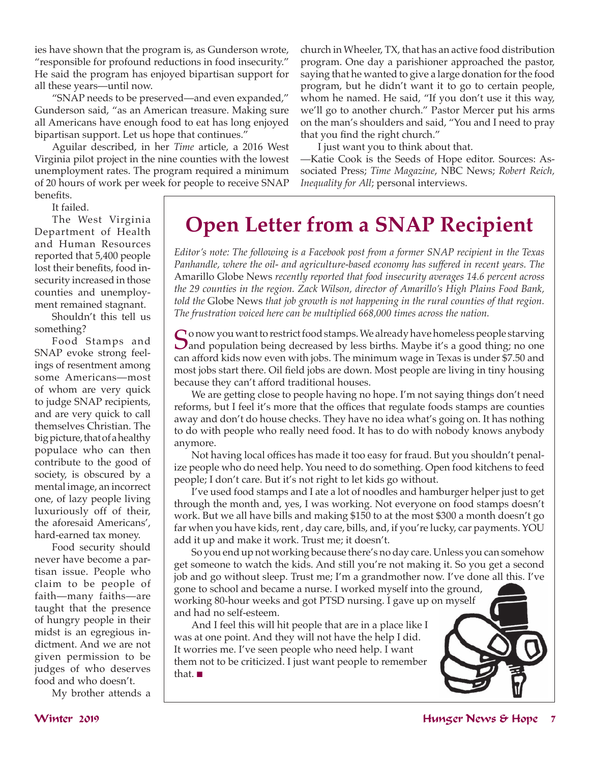ies have shown that the program is, as Gunderson wrote, "responsible for profound reductions in food insecurity." He said the program has enjoyed bipartisan support for all these years—until now.

"SNAP needs to be preserved—and even expanded," Gunderson said, "as an American treasure. Making sure all Americans have enough food to eat has long enjoyed bipartisan support. Let us hope that continues."

Aguilar described, in her *Time* article, a 2016 West Virginia pilot project in the nine counties with the lowest unemployment rates. The program required a minimum of 20 hours of work per week for people to receive SNAP benefits.

church in Wheeler, TX, that has an active food distribution program. One day a parishioner approached the pastor, saying that he wanted to give a large donation for the food program, but he didn't want it to go to certain people, whom he named. He said, "If you don't use it this way, we'll go to another church." Pastor Mercer put his arms on the man's shoulders and said, "You and I need to pray that you find the right church."

I just want you to think about that.

—Katie Cook is the Seeds of Hope editor. Sources: Associated Press; *Time Magazine*, NBC News; *Robert Reich, Inequality for All*; personal interviews.

It failed.

The West Virginia Department of Health and Human Resources reported that 5,400 people lost their benefits, food insecurity increased in those counties and unemployment remained stagnant.

Shouldn't this tell us something?

Food Stamps and SNAP evoke strong feelings of resentment among some Americans—most of whom are very quick to judge SNAP recipients, and are very quick to call themselves Christian. The big picture, that of a healthy populace who can then contribute to the good of society, is obscured by a mental image, an incorrect one, of lazy people living luxuriously off of their, the aforesaid Americans', hard-earned tax money.

Food security should never have become a partisan issue. People who claim to be people of faith—many faiths—are taught that the presence of hungry people in their midst is an egregious indictment. And we are not given permission to be judges of who deserves food and who doesn't.

My brother attends a

**Open Letter from a SNAP Recipient**

*Editor's note: The following is a Facebook post from a former SNAP recipient in the Texas*  Panhandle, where the oil- and agriculture-based economy has suffered in recent years. The Amarillo Globe News *recently reported that food insecurity averages 14.6 percent across the 29 counties in the region. Zack Wilson, director of Amarillo's High Plains Food Bank, told the* Globe News *that job growth is not happening in the rural counties of that region. The frustration voiced here can be multiplied 668,000 times across the nation.* 

So now you want to restrict food stamps. We already have homeless people starving<br>Sand population being decreased by less births. Maybe it's a good thing; no one<br>and for all high population with into The minimum area of in can afford kids now even with jobs. The minimum wage in Texas is under \$7.50 and most jobs start there. Oil field jobs are down. Most people are living in tiny housing because they can't afford traditional houses.

We are getting close to people having no hope. I'm not saying things don't need reforms, but I feel it's more that the offices that regulate foods stamps are counties away and don't do house checks. They have no idea what's going on. It has nothing to do with people who really need food. It has to do with nobody knows anybody anymore.

 Not having local offices has made it too easy for fraud. But you shouldn't penalize people who do need help. You need to do something. Open food kitchens to feed people; I don't care. But it's not right to let kids go without.

I've used food stamps and I ate a lot of noodles and hamburger helper just to get through the month and, yes, I was working. Not everyone on food stamps doesn't work. But we all have bills and making \$150 to at the most \$300 a month doesn't go far when you have kids, rent , day care, bills, and, if you're lucky, car payments. YOU add it up and make it work. Trust me; it doesn't.

So you end up not working because there's no day care. Unless you can somehow get someone to watch the kids. And still you're not making it. So you get a second job and go without sleep. Trust me; I'm a grandmother now. I've done all this. I've

gone to school and became a nurse. I worked myself into the ground, working 80-hour weeks and got PTSD nursing. I gave up on myself and had no self-esteem.

And I feel this will hit people that are in a place like I was at one point. And they will not have the help I did. It worries me. I've seen people who need help. I want them not to be criticized. I just want people to remember that.  $\blacksquare$